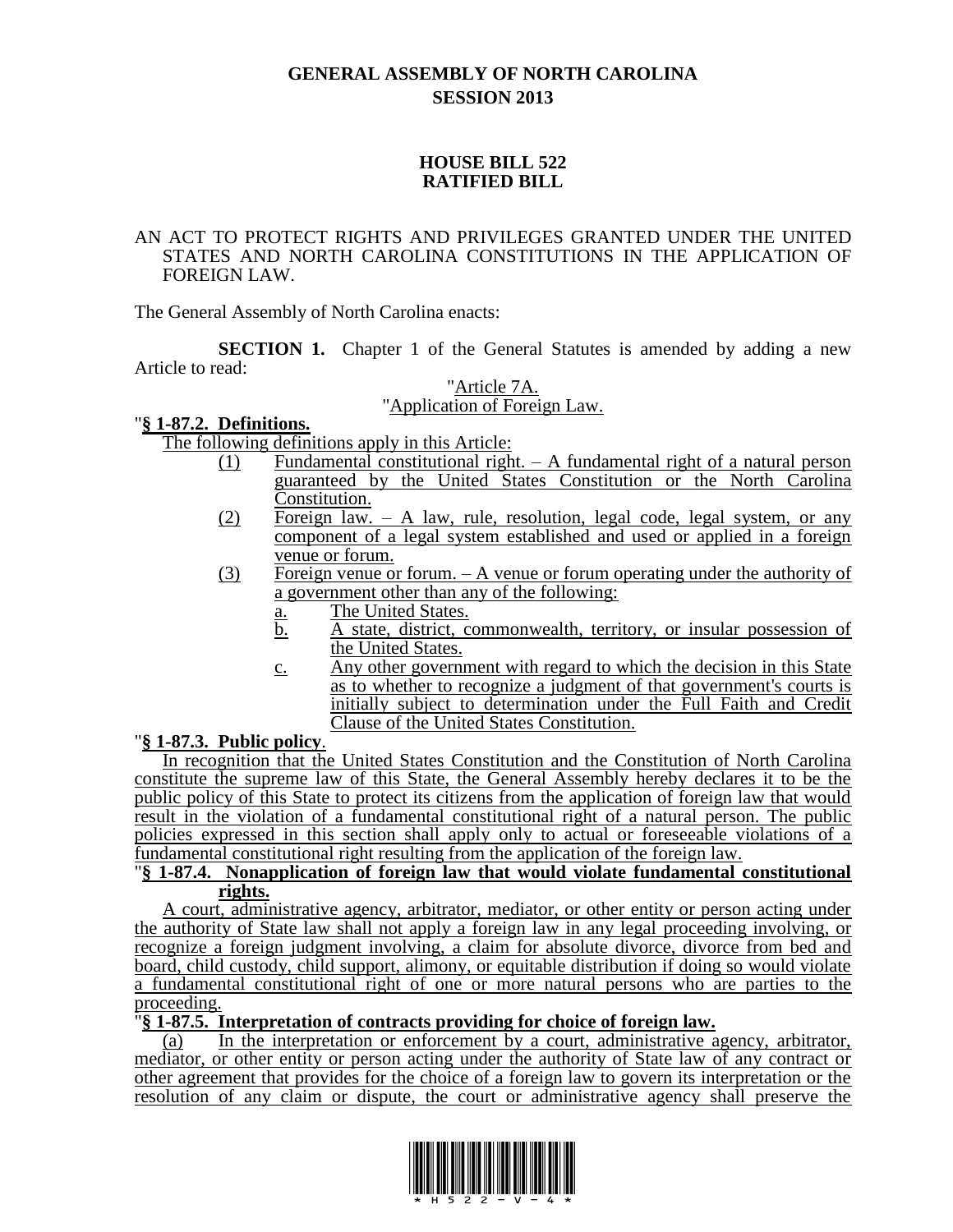# **GENERAL ASSEMBLY OF NORTH CAROLINA SESSION 2013**

## **HOUSE BILL 522 RATIFIED BILL**

#### AN ACT TO PROTECT RIGHTS AND PRIVILEGES GRANTED UNDER THE UNITED STATES AND NORTH CAROLINA CONSTITUTIONS IN THE APPLICATION OF FOREIGN LAW.

The General Assembly of North Carolina enacts:

**SECTION 1.** Chapter 1 of the General Statutes is amended by adding a new Article to read:

# "Article 7A.

# "Application of Foreign Law.

## "**§ 1-87.2. Definitions.**

The following definitions apply in this Article:

- (1) Fundamental constitutional right. A fundamental right of a natural person guaranteed by the United States Constitution or the North Carolina Constitution.
- (2) Foreign law. A law, rule, resolution, legal code, legal system, or any component of a legal system established and used or applied in a foreign venue or forum.
- (3) Foreign venue or forum. A venue or forum operating under the authority of a government other than any of the following:
	- a. The United States.
	- b. A state, district, commonwealth, territory, or insular possession of the United States.
	- c. Any other government with regard to which the decision in this State as to whether to recognize a judgment of that government's courts is initially subject to determination under the Full Faith and Credit Clause of the United States Constitution.

## "**§ 1-87.3. Public policy**.

In recognition that the United States Constitution and the Constitution of North Carolina constitute the supreme law of this State, the General Assembly hereby declares it to be the public policy of this State to protect its citizens from the application of foreign law that would result in the violation of a fundamental constitutional right of a natural person. The public policies expressed in this section shall apply only to actual or foreseeable violations of a fundamental constitutional right resulting from the application of the foreign law.

#### "**§ 1-87.4. Nonapplication of foreign law that would violate fundamental constitutional rights.**

A court, administrative agency, arbitrator, mediator, or other entity or person acting under the authority of State law shall not apply a foreign law in any legal proceeding involving, or recognize a foreign judgment involving, a claim for absolute divorce, divorce from bed and board, child custody, child support, alimony, or equitable distribution if doing so would violate a fundamental constitutional right of one or more natural persons who are parties to the proceeding.

#### "**§ 1-87.5. Interpretation of contracts providing for choice of foreign law.**

(a) In the interpretation or enforcement by a court, administrative agency, arbitrator, mediator, or other entity or person acting under the authority of State law of any contract or other agreement that provides for the choice of a foreign law to govern its interpretation or the resolution of any claim or dispute, the court or administrative agency shall preserve the